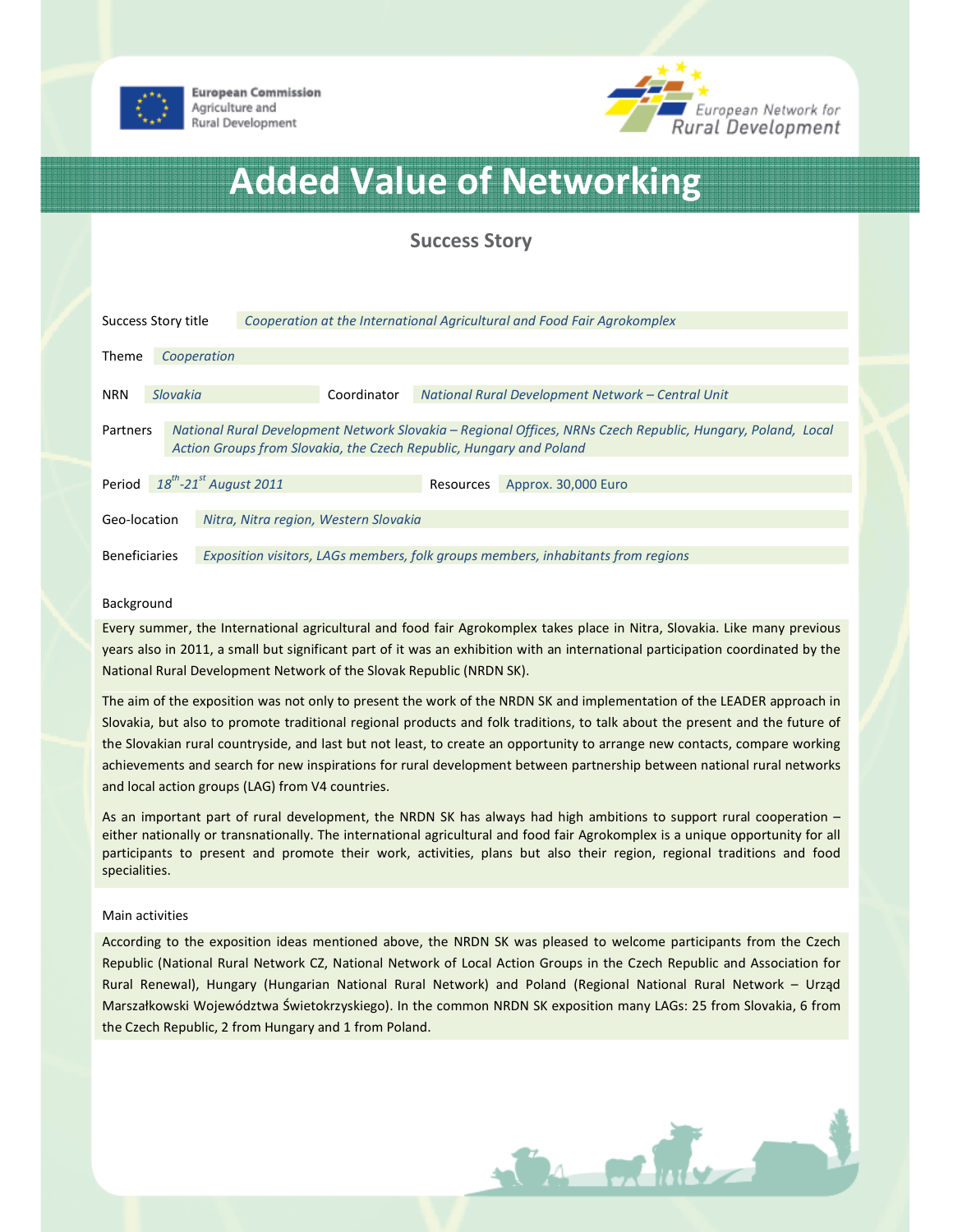

**European Commission** Agriculture and Rural Development



# Added Value of Networking

Success Story

| Success Story title                                                                                                                                                                                   |          |             | Cooperation at the International Agricultural and Food Fair Agrokomplex |                                                   |                     |  |
|-------------------------------------------------------------------------------------------------------------------------------------------------------------------------------------------------------|----------|-------------|-------------------------------------------------------------------------|---------------------------------------------------|---------------------|--|
| Theme                                                                                                                                                                                                 |          | Cooperation |                                                                         |                                                   |                     |  |
| <b>NRN</b>                                                                                                                                                                                            | Slovakia |             | Coordinator                                                             | National Rural Development Network - Central Unit |                     |  |
| National Rural Development Network Slovakia – Regional Offices, NRNs Czech Republic, Hungary, Poland, Local<br><b>Partners</b><br>Action Groups from Slovakia, the Czech Republic, Hungary and Poland |          |             |                                                                         |                                                   |                     |  |
| $18^{th}$ -21 <sup>st</sup> August 2011<br>Period                                                                                                                                                     |          |             |                                                                         | Resources                                         | Approx. 30,000 Euro |  |
| Geo-location<br>Nitra, Nitra region, Western Slovakia                                                                                                                                                 |          |             |                                                                         |                                                   |                     |  |
| <b>Beneficiaries</b><br>Exposition visitors, LAGs members, folk groups members, inhabitants from regions                                                                                              |          |             |                                                                         |                                                   |                     |  |

# Background

Every summer, the International agricultural and food fair Agrokomplex takes place in Nitra, Slovakia. Like many previous years also in 2011, a small but significant part of it was an exhibition with an international participation coordinated by the National Rural Development Network of the Slovak Republic (NRDN SK).

The aim of the exposition was not only to present the work of the NRDN SK and implementation of the LEADER approach in Slovakia, but also to promote traditional regional products and folk traditions, to talk about the present and the future of the Slovakian rural countryside, and last but not least, to create an opportunity to arrange new contacts, compare working achievements and search for new inspirations for rural development between partnership between national rural networks and local action groups (LAG) from V4 countries.

As an important part of rural development, the NRDN SK has always had high ambitions to support rural cooperation – either nationally or transnationally. The international agricultural and food fair Agrokomplex is a unique opportunity for all participants to present and promote their work, activities, plans but also their region, regional traditions and food specialities.

# Main activities

According to the exposition ideas mentioned above, the NRDN SK was pleased to welcome participants from the Czech Republic (National Rural Network CZ, National Network of Local Action Groups in the Czech Republic and Association for Rural Renewal), Hungary (Hungarian National Rural Network) and Poland (Regional National Rural Network – Urząd Marszałkowski Województwa Świetokrzyskiego). In the common NRDN SK exposition many LAGs: 25 from Slovakia, 6 from the Czech Republic, 2 from Hungary and 1 from Poland.